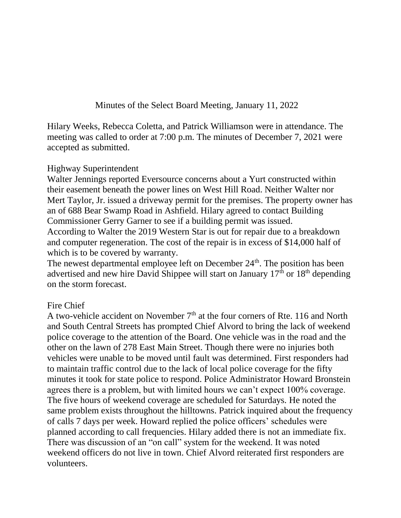Minutes of the Select Board Meeting, January 11, 2022

Hilary Weeks, Rebecca Coletta, and Patrick Williamson were in attendance. The meeting was called to order at 7:00 p.m. The minutes of December 7, 2021 were accepted as submitted.

#### Highway Superintendent

Walter Jennings reported Eversource concerns about a Yurt constructed within their easement beneath the power lines on West Hill Road. Neither Walter nor Mert Taylor, Jr. issued a driveway permit for the premises. The property owner has an of 688 Bear Swamp Road in Ashfield. Hilary agreed to contact Building Commissioner Gerry Garner to see if a building permit was issued. According to Walter the 2019 Western Star is out for repair due to a breakdown and computer regeneration. The cost of the repair is in excess of \$14,000 half of which is to be covered by warranty.

The newest departmental employee left on December  $24<sup>th</sup>$ . The position has been advertised and new hire David Shippee will start on January  $17<sup>th</sup>$  or  $18<sup>th</sup>$  depending on the storm forecast.

### Fire Chief

A two-vehicle accident on November  $7<sup>th</sup>$  at the four corners of Rte. 116 and North and South Central Streets has prompted Chief Alvord to bring the lack of weekend police coverage to the attention of the Board. One vehicle was in the road and the other on the lawn of 278 East Main Street. Though there were no injuries both vehicles were unable to be moved until fault was determined. First responders had to maintain traffic control due to the lack of local police coverage for the fifty minutes it took for state police to respond. Police Administrator Howard Bronstein agrees there is a problem, but with limited hours we can't expect 100% coverage. The five hours of weekend coverage are scheduled for Saturdays. He noted the same problem exists throughout the hilltowns. Patrick inquired about the frequency of calls 7 days per week. Howard replied the police officers' schedules were planned according to call frequencies. Hilary added there is not an immediate fix. There was discussion of an "on call" system for the weekend. It was noted weekend officers do not live in town. Chief Alvord reiterated first responders are volunteers.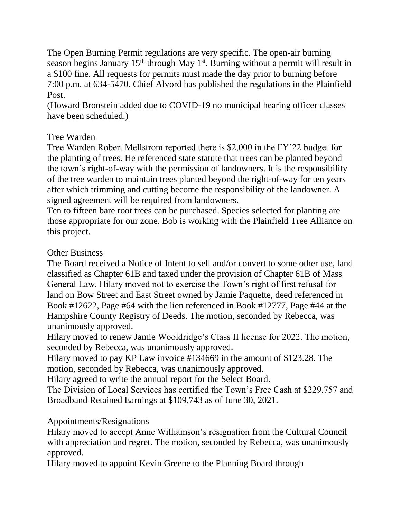The Open Burning Permit regulations are very specific. The open-air burning season begins January  $15<sup>th</sup>$  through May  $1<sup>st</sup>$ . Burning without a permit will result in a \$100 fine. All requests for permits must made the day prior to burning before 7:00 p.m. at 634-5470. Chief Alvord has published the regulations in the Plainfield Post.

(Howard Bronstein added due to COVID-19 no municipal hearing officer classes have been scheduled.)

## Tree Warden

Tree Warden Robert Mellstrom reported there is \$2,000 in the FY'22 budget for the planting of trees. He referenced state statute that trees can be planted beyond the town's right-of-way with the permission of landowners. It is the responsibility of the tree warden to maintain trees planted beyond the right-of-way for ten years after which trimming and cutting become the responsibility of the landowner. A signed agreement will be required from landowners.

Ten to fifteen bare root trees can be purchased. Species selected for planting are those appropriate for our zone. Bob is working with the Plainfield Tree Alliance on this project.

# Other Business

The Board received a Notice of Intent to sell and/or convert to some other use, land classified as Chapter 61B and taxed under the provision of Chapter 61B of Mass General Law. Hilary moved not to exercise the Town's right of first refusal for land on Bow Street and East Street owned by Jamie Paquette, deed referenced in Book #12622, Page #64 with the lien referenced in Book #12777, Page #44 at the Hampshire County Registry of Deeds. The motion, seconded by Rebecca, was unanimously approved.

Hilary moved to renew Jamie Wooldridge's Class II license for 2022. The motion, seconded by Rebecca, was unanimously approved.

Hilary moved to pay KP Law invoice #134669 in the amount of \$123.28. The motion, seconded by Rebecca, was unanimously approved.

Hilary agreed to write the annual report for the Select Board.

The Division of Local Services has certified the Town's Free Cash at \$229,757 and Broadband Retained Earnings at \$109,743 as of June 30, 2021.

## Appointments/Resignations

Hilary moved to accept Anne Williamson's resignation from the Cultural Council with appreciation and regret. The motion, seconded by Rebecca, was unanimously approved.

Hilary moved to appoint Kevin Greene to the Planning Board through